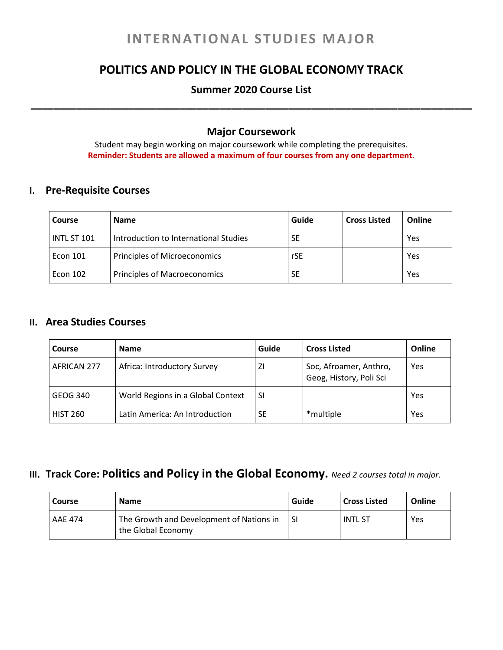# **INTERNATIONAL STUDIES MAJOR**

# **POLITICS AND POLICY IN THE GLOBAL ECONOMY TRACK**

## **Summer 2020 Course List \_\_\_\_\_\_\_\_\_\_\_\_\_\_\_\_\_\_\_\_\_\_\_\_\_\_\_\_\_\_\_\_\_\_\_\_\_\_\_\_\_\_\_\_\_\_\_\_\_\_\_\_\_\_\_\_\_\_\_\_\_\_\_\_\_\_\_\_\_\_\_\_\_\_\_\_\_**

### **Major Coursework**

Student may begin working on major coursework while completing the prerequisites. **Reminder: Students are allowed a maximum of four courses from any one department.**

#### **I. Pre-Requisite Courses**

| <b>Course</b> | <b>Name</b>                           | Guide | <b>Cross Listed</b> | Online |
|---------------|---------------------------------------|-------|---------------------|--------|
| INTL ST 101   | Introduction to International Studies | SE    |                     | Yes    |
| Econ 101      | Principles of Microeconomics          | rSE   |                     | Yes    |
| Econ 102      | <b>Principles of Macroeconomics</b>   | SE    |                     | Yes    |

#### **II. Area Studies Courses**

| Course          | <b>Name</b>                       | Guide     | <b>Cross Listed</b>                               | Online |
|-----------------|-----------------------------------|-----------|---------------------------------------------------|--------|
| AFRICAN 277     | Africa: Introductory Survey       | ΖI        | Soc, Afroamer, Anthro,<br>Geog, History, Poli Sci | Yes    |
| GEOG 340        | World Regions in a Global Context | -SI       |                                                   | Yes    |
| <b>HIST 260</b> | Latin America: An Introduction    | <b>SE</b> | *multiple                                         | Yes    |

### **III. Track Core: Politics and Policy in the Global Economy.** *Need <sup>2</sup> courses total in major.*

| <b>Course</b> | <b>Name</b>                                                    | Guide     | <b>Cross Listed</b> | Online |
|---------------|----------------------------------------------------------------|-----------|---------------------|--------|
| AAE 474       | The Growth and Development of Nations in<br>the Global Economy | <b>SI</b> | <b>INTL ST</b>      | Yes    |